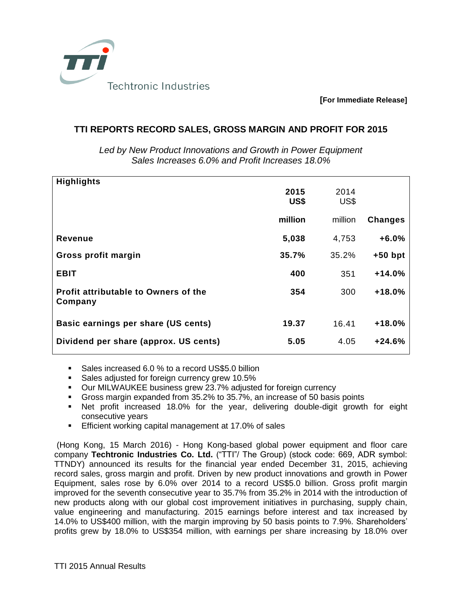

**[For Immediate Release]**

## **TTI REPORTS RECORD SALES, GROSS MARGIN AND PROFIT FOR 2015**

| <b>Highlights</b>                               |              |              |                |
|-------------------------------------------------|--------------|--------------|----------------|
|                                                 | 2015<br>US\$ | 2014<br>US\$ |                |
|                                                 | million      | million      | <b>Changes</b> |
| Revenue                                         | 5,038        | 4,753        | $+6.0%$        |
| Gross profit margin                             | 35.7%        | 35.2%        | $+50$ bpt      |
| <b>EBIT</b>                                     | 400          | 351          | $+14.0%$       |
| Profit attributable to Owners of the<br>Company | 354          | 300          | +18.0%         |
| Basic earnings per share (US cents)             | 19.37        | 16.41        | $+18.0%$       |
| Dividend per share (approx. US cents)           | 5.05         | 4.05         | +24.6%         |

*Led by New Product Innovations and Growth in Power Equipment Sales Increases 6.0% and Profit Increases 18.0%*

- Sales increased 6.0 % to a record US\$5.0 billion
- Sales adjusted for foreign currency grew 10.5%
- Our MILWAUKEE business grew 23.7% adjusted for foreign currency
- Gross margin expanded from 35.2% to 35.7%, an increase of 50 basis points
- Net profit increased 18.0% for the year, delivering double-digit growth for eight consecutive years
- Efficient working capital management at 17.0% of sales

(Hong Kong, 15 March 2016) - Hong Kong-based global power equipment and floor care company **Techtronic Industries Co. Ltd.** ("TTI"/ The Group) (stock code: 669, ADR symbol: TTNDY) announced its results for the financial year ended December 31, 2015, achieving record sales, gross margin and profit. Driven by new product innovations and growth in Power Equipment, sales rose by 6.0% over 2014 to a record US\$5.0 billion. Gross profit margin improved for the seventh consecutive year to 35.7% from 35.2% in 2014 with the introduction of new products along with our global cost improvement initiatives in purchasing, supply chain, value engineering and manufacturing. 2015 earnings before interest and tax increased by 14.0% to US\$400 million, with the margin improving by 50 basis points to 7.9%. Shareholders' profits grew by 18.0% to US\$354 million, with earnings per share increasing by 18.0% over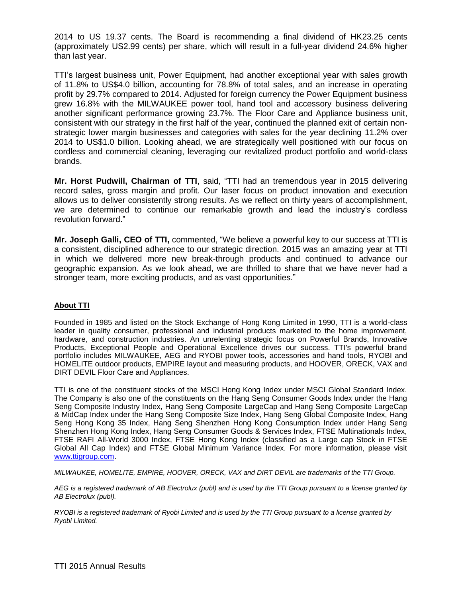2014 to US 19.37 cents. The Board is recommending a final dividend of HK23.25 cents (approximately US2.99 cents) per share, which will result in a full-year dividend 24.6% higher than last year.

TTI's largest business unit, Power Equipment, had another exceptional year with sales growth of 11.8% to US\$4.0 billion, accounting for 78.8% of total sales, and an increase in operating profit by 29.7% compared to 2014. Adjusted for foreign currency the Power Equipment business grew 16.8% with the MILWAUKEE power tool, hand tool and accessory business delivering another significant performance growing 23.7%. The Floor Care and Appliance business unit, consistent with our strategy in the first half of the year, continued the planned exit of certain nonstrategic lower margin businesses and categories with sales for the year declining 11.2% over 2014 to US\$1.0 billion. Looking ahead, we are strategically well positioned with our focus on cordless and commercial cleaning, leveraging our revitalized product portfolio and world-class brands.

**Mr. Horst Pudwill, Chairman of TTI**, said, "TTI had an tremendous year in 2015 delivering record sales, gross margin and profit. Our laser focus on product innovation and execution allows us to deliver consistently strong results. As we reflect on thirty years of accomplishment, we are determined to continue our remarkable growth and lead the industry's cordless revolution forward."

**Mr. Joseph Galli, CEO of TTI,** commented, "We believe a powerful key to our success at TTI is a consistent, disciplined adherence to our strategic direction. 2015 was an amazing year at TTI in which we delivered more new break-through products and continued to advance our geographic expansion. As we look ahead, we are thrilled to share that we have never had a stronger team, more exciting products, and as vast opportunities."

## **About TTI**

Founded in 1985 and listed on the Stock Exchange of Hong Kong Limited in 1990, TTI is a world-class leader in quality consumer, professional and industrial products marketed to the home improvement, hardware, and construction industries. An unrelenting strategic focus on Powerful Brands, Innovative Products, Exceptional People and Operational Excellence drives our success. TTI's powerful brand portfolio includes MILWAUKEE, AEG and RYOBI power tools, accessories and hand tools, RYOBI and HOMELITE outdoor products, EMPIRE layout and measuring products, and HOOVER, ORECK, VAX and DIRT DEVIL Floor Care and Appliances.

TTI is one of the constituent stocks of the MSCI Hong Kong Index under MSCI Global Standard Index. The Company is also one of the constituents on the Hang Seng Consumer Goods Index under the Hang Seng Composite Industry Index, Hang Seng Composite LargeCap and Hang Seng Composite LargeCap & MidCap Index under the Hang Seng Composite Size Index, Hang Seng Global Composite Index, Hang Seng Hong Kong 35 Index, Hang Seng Shenzhen Hong Kong Consumption Index under Hang Seng Shenzhen Hong Kong Index, Hang Seng Consumer Goods & Services Index, FTSE Multinationals Index, FTSE RAFI All-World 3000 Index, FTSE Hong Kong Index (classified as a Large cap Stock in FTSE Global All Cap Index) and FTSE Global Minimum Variance Index. For more information, please visit [www.ttigroup.com.](http://www.ttigroup.com/)

*MILWAUKEE, HOMELITE, EMPIRE, HOOVER, ORECK, VAX and DIRT DEVIL are trademarks of the TTI Group.* 

*AEG is a registered trademark of AB Electrolux (publ) and is used by the TTI Group pursuant to a license granted by AB Electrolux (publ).* 

*RYOBI is a registered trademark of Ryobi Limited and is used by the TTI Group pursuant to a license granted by Ryobi Limited.*